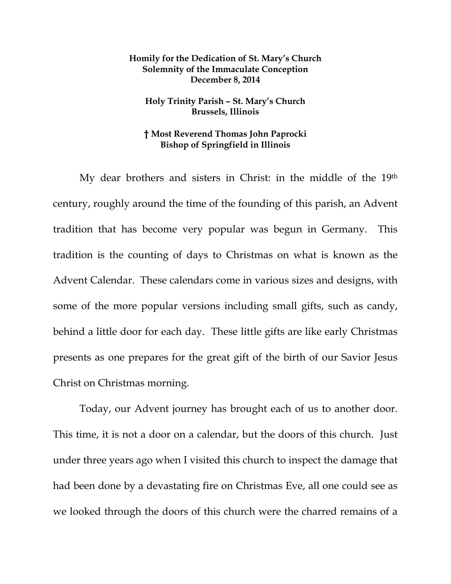## **Homily for the Dedication of St. Mary's Church Solemnity of the Immaculate Conception December 8, 2014**

## **Holy Trinity Parish – St. Mary's Church Brussels, Illinois**

## **† Most Reverend Thomas John Paprocki Bishop of Springfield in Illinois**

 My dear brothers and sisters in Christ: in the middle of the 19th century, roughly around the time of the founding of this parish, an Advent tradition that has become very popular was begun in Germany. This tradition is the counting of days to Christmas on what is known as the Advent Calendar. These calendars come in various sizes and designs, with some of the more popular versions including small gifts, such as candy, behind a little door for each day. These little gifts are like early Christmas presents as one prepares for the great gift of the birth of our Savior Jesus Christ on Christmas morning.

 Today, our Advent journey has brought each of us to another door. This time, it is not a door on a calendar, but the doors of this church. Just under three years ago when I visited this church to inspect the damage that had been done by a devastating fire on Christmas Eve, all one could see as we looked through the doors of this church were the charred remains of a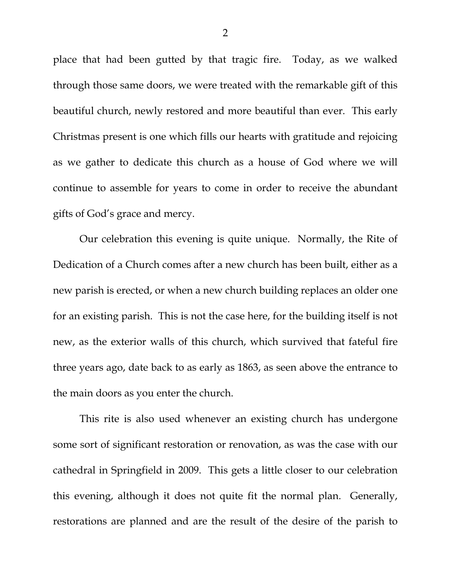place that had been gutted by that tragic fire. Today, as we walked through those same doors, we were treated with the remarkable gift of this beautiful church, newly restored and more beautiful than ever. This early Christmas present is one which fills our hearts with gratitude and rejoicing as we gather to dedicate this church as a house of God where we will continue to assemble for years to come in order to receive the abundant gifts of God's grace and mercy.

 Our celebration this evening is quite unique. Normally, the Rite of Dedication of a Church comes after a new church has been built, either as a new parish is erected, or when a new church building replaces an older one for an existing parish. This is not the case here, for the building itself is not new, as the exterior walls of this church, which survived that fateful fire three years ago, date back to as early as 1863, as seen above the entrance to the main doors as you enter the church.

This rite is also used whenever an existing church has undergone some sort of significant restoration or renovation, as was the case with our cathedral in Springfield in 2009. This gets a little closer to our celebration this evening, although it does not quite fit the normal plan. Generally, restorations are planned and are the result of the desire of the parish to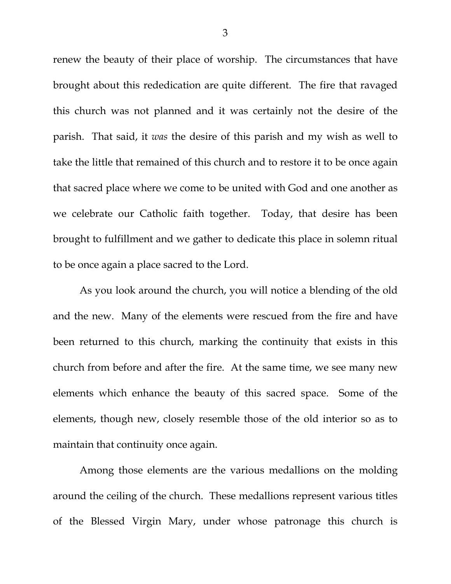renew the beauty of their place of worship. The circumstances that have brought about this rededication are quite different. The fire that ravaged this church was not planned and it was certainly not the desire of the parish. That said, it *was* the desire of this parish and my wish as well to take the little that remained of this church and to restore it to be once again that sacred place where we come to be united with God and one another as we celebrate our Catholic faith together. Today, that desire has been brought to fulfillment and we gather to dedicate this place in solemn ritual to be once again a place sacred to the Lord.

As you look around the church, you will notice a blending of the old and the new. Many of the elements were rescued from the fire and have been returned to this church, marking the continuity that exists in this church from before and after the fire. At the same time, we see many new elements which enhance the beauty of this sacred space. Some of the elements, though new, closely resemble those of the old interior so as to maintain that continuity once again.

Among those elements are the various medallions on the molding around the ceiling of the church. These medallions represent various titles of the Blessed Virgin Mary, under whose patronage this church is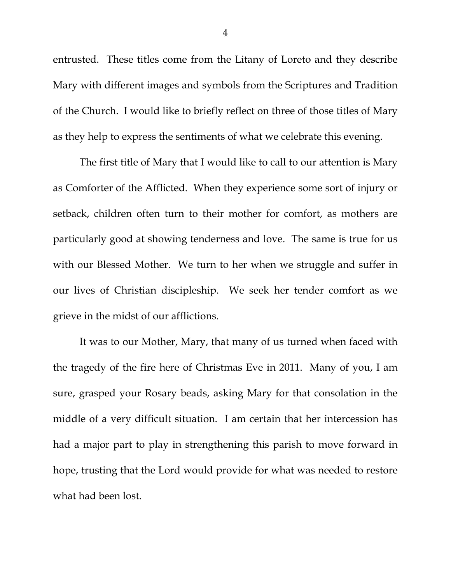entrusted. These titles come from the Litany of Loreto and they describe Mary with different images and symbols from the Scriptures and Tradition of the Church. I would like to briefly reflect on three of those titles of Mary as they help to express the sentiments of what we celebrate this evening.

The first title of Mary that I would like to call to our attention is Mary as Comforter of the Afflicted. When they experience some sort of injury or setback, children often turn to their mother for comfort, as mothers are particularly good at showing tenderness and love. The same is true for us with our Blessed Mother. We turn to her when we struggle and suffer in our lives of Christian discipleship. We seek her tender comfort as we grieve in the midst of our afflictions.

It was to our Mother, Mary, that many of us turned when faced with the tragedy of the fire here of Christmas Eve in 2011. Many of you, I am sure, grasped your Rosary beads, asking Mary for that consolation in the middle of a very difficult situation. I am certain that her intercession has had a major part to play in strengthening this parish to move forward in hope, trusting that the Lord would provide for what was needed to restore what had been lost.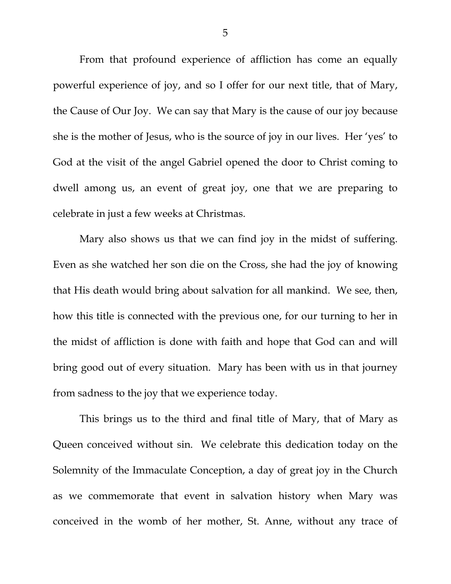From that profound experience of affliction has come an equally powerful experience of joy, and so I offer for our next title, that of Mary, the Cause of Our Joy. We can say that Mary is the cause of our joy because she is the mother of Jesus, who is the source of joy in our lives. Her 'yes' to God at the visit of the angel Gabriel opened the door to Christ coming to dwell among us, an event of great joy, one that we are preparing to celebrate in just a few weeks at Christmas.

Mary also shows us that we can find joy in the midst of suffering. Even as she watched her son die on the Cross, she had the joy of knowing that His death would bring about salvation for all mankind. We see, then, how this title is connected with the previous one, for our turning to her in the midst of affliction is done with faith and hope that God can and will bring good out of every situation. Mary has been with us in that journey from sadness to the joy that we experience today.

This brings us to the third and final title of Mary, that of Mary as Queen conceived without sin. We celebrate this dedication today on the Solemnity of the Immaculate Conception, a day of great joy in the Church as we commemorate that event in salvation history when Mary was conceived in the womb of her mother, St. Anne, without any trace of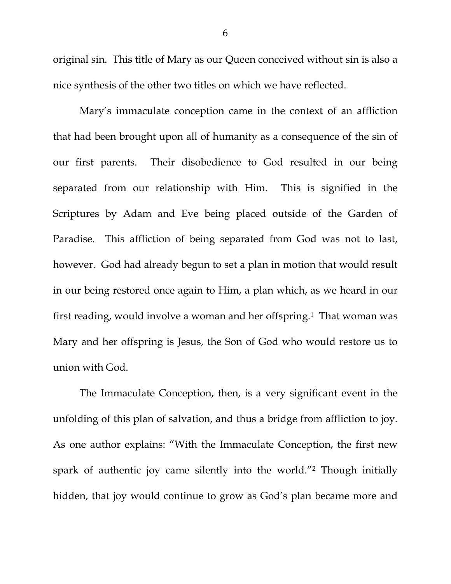original sin. This title of Mary as our Queen conceived without sin is also a nice synthesis of the other two titles on which we have reflected.

Mary's immaculate conception came in the context of an affliction that had been brought upon all of humanity as a consequence of the sin of our first parents. Their disobedience to God resulted in our being separated from our relationship with Him. This is signified in the Scriptures by Adam and Eve being placed outside of the Garden of Paradise. This affliction of being separated from God was not to last, however. God had already begun to set a plan in motion that would result in our being restored once again to Him, a plan which, as we heard in our first reading, would involve a woman and her offspring.1 That woman was Mary and her offspring is Jesus, the Son of God who would restore us to union with God.

The Immaculate Conception, then, is a very significant event in the unfolding of this plan of salvation, and thus a bridge from affliction to joy. As one author explains: "With the Immaculate Conception, the first new spark of authentic joy came silently into the world."2 Though initially hidden, that joy would continue to grow as God's plan became more and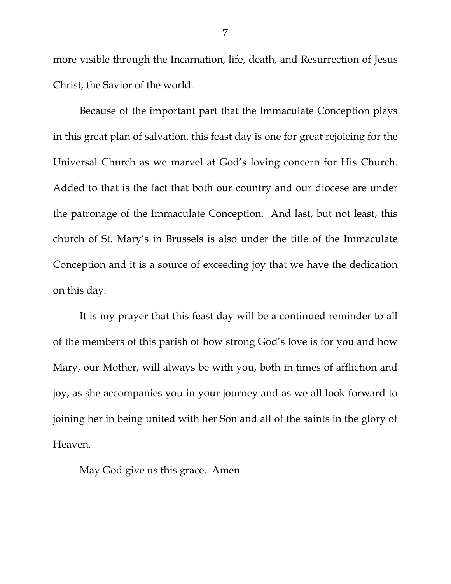more visible through the Incarnation, life, death, and Resurrection of Jesus Christ, the Savior of the world.

Because of the important part that the Immaculate Conception plays in this great plan of salvation, this feast day is one for great rejoicing for the Universal Church as we marvel at God's loving concern for His Church. Added to that is the fact that both our country and our diocese are under the patronage of the Immaculate Conception. And last, but not least, this church of St. Mary's in Brussels is also under the title of the Immaculate Conception and it is a source of exceeding joy that we have the dedication on this day.

It is my prayer that this feast day will be a continued reminder to all of the members of this parish of how strong God's love is for you and how Mary, our Mother, will always be with you, both in times of affliction and joy, as she accompanies you in your journey and as we all look forward to joining her in being united with her Son and all of the saints in the glory of Heaven.

May God give us this grace. Amen.